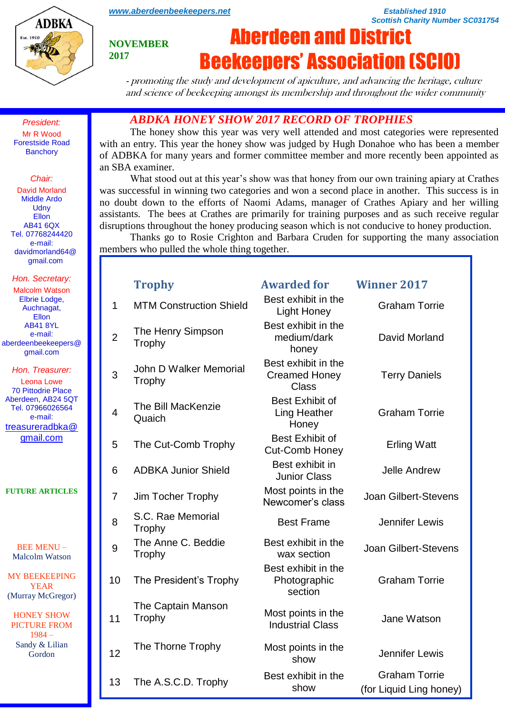

*[www.aberdeenbeekeepers.net](http://www.aberdeenbeekeepers.net/) Established 1910* 

*Scottish Charity Number SC031754*

#### **NOVEMBER 2017**

# Aberdeen and District Beekeepers' Association (SCIO)

- promoting the study and development of apiculture, and advancing the heritage, culture and science of beekeeping amongst its membership and throughout the wider community

*ABDKA HONEY SHOW 2017 RECORD OF TROPHIES*

The honey show this year was very well attended and most categories were represented with an entry. This year the honey show was judged by Hugh Donahoe who has been a member of ADBKA for many years and former committee member and more recently been appointed as an SBA examiner.

What stood out at this year's show was that honey from our own training apiary at Crathes was successful in winning two categories and won a second place in another. This success is in no doubt down to the efforts of Naomi Adams, manager of Crathes Apiary and her willing assistants. The bees at Crathes are primarily for training purposes and as such receive regular disruptions throughout the honey producing season which is not conducive to honey production.

Thanks go to Rosie Crighton and Barbara Cruden for supporting the many association members who pulled the whole thing together.

|                | <b>Trophy</b>                    | <b>Awarded for</b>                                          | <b>Winner 2017</b>                              |
|----------------|----------------------------------|-------------------------------------------------------------|-------------------------------------------------|
| $\mathbf{1}$   | <b>MTM Construction Shield</b>   | Best exhibit in the<br><b>Light Honey</b>                   | <b>Graham Torrie</b>                            |
| $\overline{2}$ | The Henry Simpson<br>Trophy      | Best exhibit in the<br>medium/dark<br>honey                 | David Morland                                   |
| 3              | John D Walker Memorial<br>Trophy | Best exhibit in the<br><b>Creamed Honey</b><br><b>Class</b> | <b>Terry Daniels</b>                            |
| 4              | The Bill MacKenzie<br>Quaich     | <b>Best Exhibit of</b><br><b>Ling Heather</b><br>Honey      | <b>Graham Torrie</b>                            |
| 5              | The Cut-Comb Trophy              | <b>Best Exhibit of</b><br><b>Cut-Comb Honey</b>             | <b>Erling Watt</b>                              |
| 6              | <b>ADBKA Junior Shield</b>       | Best exhibit in<br><b>Junior Class</b>                      | <b>Jelle Andrew</b>                             |
| $\overline{7}$ | Jim Tocher Trophy                | Most points in the<br>Newcomer's class                      | <b>Joan Gilbert-Stevens</b>                     |
| 8              | S.C. Rae Memorial<br>Trophy      | <b>Best Frame</b>                                           | Jennifer Lewis                                  |
| 9              | The Anne C. Beddie<br>Trophy     | Best exhibit in the<br>wax section                          | <b>Joan Gilbert-Stevens</b>                     |
| 10             | The President's Trophy           | Best exhibit in the<br>Photographic<br>section              | <b>Graham Torrie</b>                            |
| 11             | The Captain Manson<br>Trophy     | Most points in the<br><b>Industrial Class</b>               | Jane Watson                                     |
| 12             | The Thorne Trophy                | Most points in the<br>show                                  | Jennifer Lewis                                  |
| 13             | The A.S.C.D. Trophy              | Best exhibit in the<br>show                                 | <b>Graham Torrie</b><br>(for Liquid Ling honey) |

*President:* Mr R Wood Forestside Road **Banchory** 

#### *Chair:*

David Morland Middle Ardo **Udny** Ellon AB41 6QX Tel. 07768244420 e-mail: davidmorland64@ gmail.com

*Hon. Secretary:* Malcolm Watson Elbrie Lodge, Auchnagat, Ellon AB41 8YL e-mail: aberdeenbeekeepers@ gmail.com

#### *Hon. Treasurer:*

Leona Lowe 70 Pittodrie Place Aberdeen, AB24 5QT Tel. 07966026564 e-mail: [treasureradbka@](https://e.mail.ru/compose/?mailto=mailto%3atreasureradbka@gmail.com) [gmail.com](https://e.mail.ru/compose/?mailto=mailto%3atreasureradbka@gmail.com)

**FUTURE ARTICLES**

BEE MENU – Malcolm Watson

MY BEEKEEPING YEAR (Murray McGregor)

HONEY SHOW PICTURE FROM 1984 – Sandy & Lilian Gordon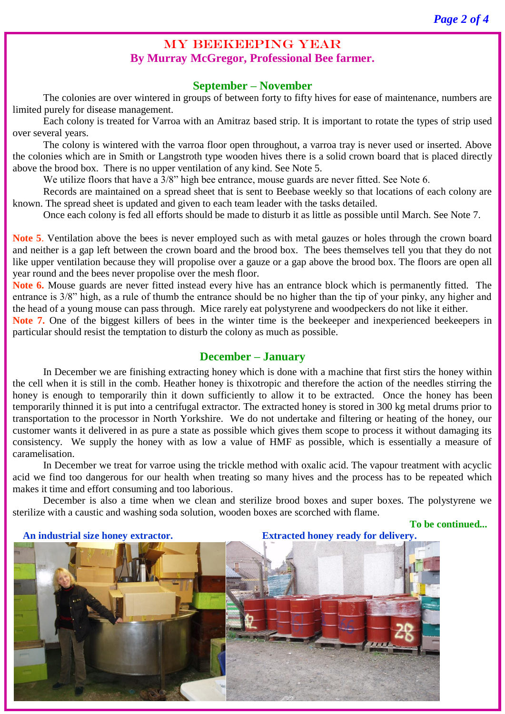# MY BEEKEEPING YEAR **By Murray McGregor, Professional Bee farmer.**

## **September – November**

The colonies are over wintered in groups of between forty to fifty hives for ease of maintenance, numbers are limited purely for disease management.

Each colony is treated for Varroa with an Amitraz based strip. It is important to rotate the types of strip used over several years.

The colony is wintered with the varroa floor open throughout, a varroa tray is never used or inserted. Above the colonies which are in Smith or Langstroth type wooden hives there is a solid crown board that is placed directly above the brood box. There is no upper ventilation of any kind. See Note 5.

We utilize floors that have a 3/8" high bee entrance, mouse guards are never fitted. See Note 6.

Records are maintained on a spread sheet that is sent to Beebase weekly so that locations of each colony are known. The spread sheet is updated and given to each team leader with the tasks detailed.

Once each colony is fed all efforts should be made to disturb it as little as possible until March. See Note 7.

**Note 5**. Ventilation above the bees is never employed such as with metal gauzes or holes through the crown board and neither is a gap left between the crown board and the brood box. The bees themselves tell you that they do not like upper ventilation because they will propolise over a gauze or a gap above the brood box. The floors are open all year round and the bees never propolise over the mesh floor.

**Note 6.** Mouse guards are never fitted instead every hive has an entrance block which is permanently fitted. The entrance is 3/8" high, as a rule of thumb the entrance should be no higher than the tip of your pinky, any higher and the head of a young mouse can pass through. Mice rarely eat polystyrene and woodpeckers do not like it either.

**Note 7.** One of the biggest killers of bees in the winter time is the beekeeper and inexperienced beekeepers in particular should resist the temptation to disturb the colony as much as possible.

#### **December – January**

In December we are finishing extracting honey which is done with a machine that first stirs the honey within the cell when it is still in the comb. Heather honey is thixotropic and therefore the action of the needles stirring the honey is enough to temporarily thin it down sufficiently to allow it to be extracted. Once the honey has been temporarily thinned it is put into a centrifugal extractor. The extracted honey is stored in 300 kg metal drums prior to transportation to the processor in North Yorkshire. We do not undertake and filtering or heating of the honey, our customer wants it delivered in as pure a state as possible which gives them scope to process it without damaging its consistency. We supply the honey with as low a value of HMF as possible, which is essentially a measure of caramelisation.

In December we treat for varroe using the trickle method with oxalic acid. The vapour treatment with acyclic acid we find too dangerous for our health when treating so many hives and the process has to be repeated which makes it time and effort consuming and too laborious.

December is also a time when we clean and sterilize brood boxes and super boxes. The polystyrene we sterilize with a caustic and washing soda solution, wooden boxes are scorched with flame.

**To be continued...**

 **An industrial size honey extractor. Extracted honey ready for delivery.**

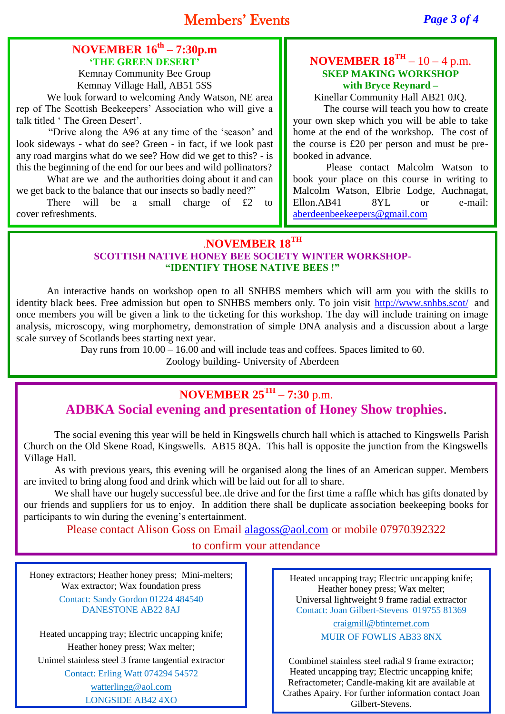# **NOVEMBER 16th – 7:30p.m 'THE GREEN DESERT'**

Kemnay Community Bee Group Kemnay Village Hall, AB51 5SS

We look forward to welcoming Andy Watson, NE area rep of The Scottish Beekeepers' Association who will give a talk titled ' The Green Desert'.

"Drive along the A96 at any time of the 'season' and look sideways - what do see? Green - in fact, if we look past any road margins what do we see? How did we get to this? - is this the beginning of the end for our bees and wild pollinators?

What are we and the authorities doing about it and can we get back to the balance that our insects so badly need?"

There will be a small charge of £2 to cover refreshments.

## **NOVEMBER**  $18^{TH} - 10 - 4$  **p.m. SKEP MAKING WORKSHOP with Bryce Reynard –**

Kinellar Community Hall AB21 0JQ.

The course will teach you how to create your own skep which you will be able to take home at the end of the workshop. The cost of the course is £20 per person and must be prebooked in advance.

Please contact Malcolm Watson to book your place on this course in writing to Malcolm Watson, Elbrie Lodge, Auchnagat, Ellon.AB41 8YL or e-mail: [aberdeenbeekeepers@gmail.com](mailto:aberdeenbeekeepers@gmail.com)

# .**NOVEMBER 18TH SCOTTISH NATIVE HONEY BEE SOCIETY WINTER WORKSHOP- "IDENTIFY THOSE NATIVE BEES !"**

An interactive hands on workshop open to all SNHBS members which will arm you with the skills to identity black bees. Free admission but open to SNHBS members only. To join visit<http://www.snhbs.scot/> and once members you will be given a link to the ticketing for this workshop. The day will include training on image analysis, microscopy, wing morphometry, demonstration of simple DNA analysis and a discussion about a large scale survey of Scotlands bees starting next year.

Day runs from 10.00 – 16.00 and will include teas and coffees. Spaces limited to 60.

Zoology building- University of Aberdeen

# **NOVEMBER 25TH – 7:30** p.m. **ADBKA Social evening and presentation of Honey Show trophies**.

The social evening this year will be held in Kingswells church hall which is attached to Kingswells Parish Church on the Old Skene Road, Kingswells. AB15 8QA. This hall is opposite the junction from the Kingswells Village Hall.

As with previous years, this evening will be organised along the lines of an American supper. Members are invited to bring along food and drink which will be laid out for all to share.

We shall have our hugely successful bee..tle drive and for the first time a raffle which has gifts donated by our friends and suppliers for us to enjoy. In addition there shall be duplicate association beekeeping books for participants to win during the evening's entertainment.

Please contact Alison Goss on Email [alagoss@aol.com](mailto:alagoss@aol.com) or mobile 07970392322

to confirm your attendance

Honey extractors; Heather honey press; Mini-melters; Wax extractor; Wax foundation press Contact: Sandy Gordon 01224 484540 DANESTONE AB22 8AJ

Heated uncapping tray; Electric uncapping knife; Heather honey press; Wax melter; Unimel stainless steel 3 frame tangential extractor Contact: Erling Watt 074294 54572 [watterlingg@aol.com](mailto:watterlingg@aol.com)

LONGSIDE AB42 4XQ

Heated uncapping tray; Electric uncapping knife; Heather honey press; Wax melter; Universal lightweight 9 frame radial extractor Contact: Joan Gilbert-Stevens 019755 81369

> [craigmill@btinternet.com](mailto:craigmill@btinternet.com) MUIR OF FOWLIS AB33 8NX

Combimel stainless steel radial 9 frame extractor; Heated uncapping tray; Electric uncapping knife; Refractometer; Candle-making kit are available at Crathes Apairy. For further information contact Joan Gilbert-Stevens.